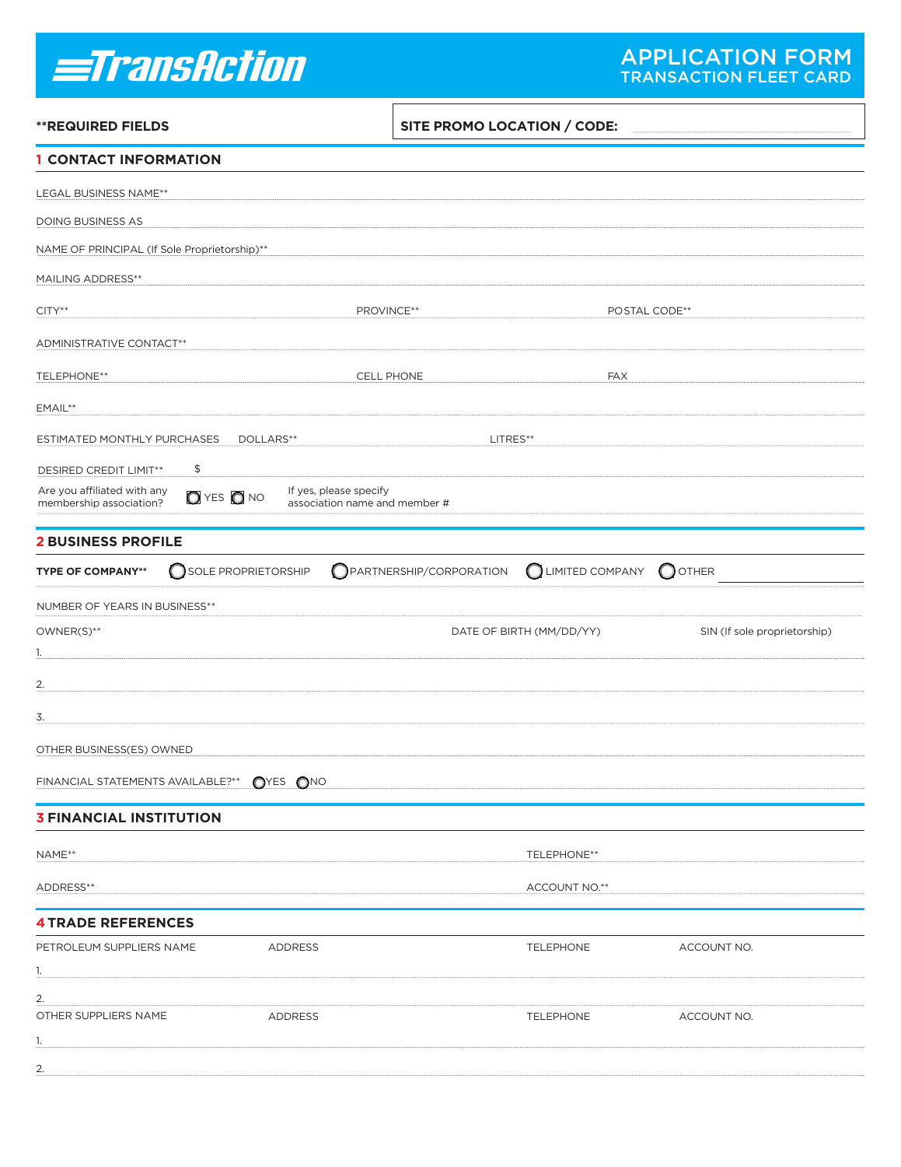# *<u>=TransAction</u>*

| <b>**REQUIRED FIELDS</b>                               |                                  |                                                         | SITE PROMO LOCATION / CODE: |                          |                              |  |  |
|--------------------------------------------------------|----------------------------------|---------------------------------------------------------|-----------------------------|--------------------------|------------------------------|--|--|
| <b>1 CONTACT INFORMATION</b>                           |                                  |                                                         |                             |                          |                              |  |  |
| LEGAL BUSINESS NAME**                                  |                                  |                                                         |                             |                          |                              |  |  |
| DOING BUSINESS AS                                      |                                  |                                                         |                             |                          |                              |  |  |
| NAME OF PRINCIPAL (If Sole Proprietorship)**           |                                  |                                                         |                             |                          |                              |  |  |
| <b>MAILING ADDRESS**</b>                               |                                  |                                                         |                             |                          |                              |  |  |
| $CITY**$                                               |                                  |                                                         | PROVINCE**                  |                          | POSTAL CODE**                |  |  |
| ADMINISTRATIVE CONTACT**                               |                                  |                                                         |                             |                          |                              |  |  |
|                                                        |                                  |                                                         |                             |                          |                              |  |  |
|                                                        | CELL PHONE<br><b>TELEPHONE**</b> |                                                         |                             | <b>FAX</b>               |                              |  |  |
| EMAIL**                                                |                                  |                                                         |                             |                          |                              |  |  |
| ESTIMATED MONTHLY PURCHASES<br>DOLLARS**<br>LITRES**   |                                  |                                                         |                             |                          |                              |  |  |
| DESIRED CREDIT LIMIT**                                 | \$                               |                                                         |                             |                          |                              |  |  |
| Are you affiliated with any<br>membership association? | $Q$ yes $Q$ no                   | If yes, please specify<br>association name and member # |                             |                          |                              |  |  |
| <b>2 BUSINESS PROFILE</b>                              |                                  |                                                         |                             |                          |                              |  |  |
| <b>TYPE OF COMPANY**</b>                               | SOLE PROPRIETORSHIP              |                                                         | PARTNERSHIP/CORPORATION     | LIMITED COMPANY          | $\bigcirc$ other             |  |  |
|                                                        |                                  |                                                         |                             |                          |                              |  |  |
| NUMBER OF YEARS IN BUSINESS**<br>OWNER(S)**            |                                  |                                                         |                             | DATE OF BIRTH (MM/DD/YY) | SIN (If sole proprietorship) |  |  |
| 1.                                                     |                                  |                                                         |                             |                          |                              |  |  |
| 2.                                                     |                                  |                                                         |                             |                          |                              |  |  |
| 3.                                                     |                                  |                                                         |                             |                          |                              |  |  |
|                                                        |                                  |                                                         |                             |                          |                              |  |  |
| OTHER BUSINESS(ES) OWNED                               |                                  |                                                         |                             |                          |                              |  |  |
| FINANCIAL STATEMENTS AVAILABLE?** OYES ONO             |                                  |                                                         |                             |                          |                              |  |  |
| <b>3 FINANCIAL INSTITUTION</b>                         |                                  |                                                         |                             |                          |                              |  |  |
| NAME**                                                 |                                  |                                                         |                             | TELEPHONE**              |                              |  |  |
| ADDRESS**                                              |                                  |                                                         |                             | ACCOUNT NO.**            |                              |  |  |
|                                                        |                                  |                                                         |                             |                          |                              |  |  |
| <b>4 TRADE REFERENCES</b>                              |                                  |                                                         |                             |                          |                              |  |  |
| PETROLEUM SUPPLIERS NAME<br>1.                         |                                  | ADDRESS                                                 |                             | <b>TELEPHONE</b>         | ACCOUNT NO.                  |  |  |
| 2.                                                     |                                  |                                                         |                             |                          |                              |  |  |
| OTHER SUPPLIERS NAME                                   |                                  | <b>ADDRESS</b>                                          |                             | <b>TELEPHONE</b>         | ACCOUNT NO.                  |  |  |
| 1.                                                     |                                  |                                                         |                             |                          |                              |  |  |
| 2.                                                     |                                  |                                                         |                             |                          |                              |  |  |

 $\mathsf{r}$